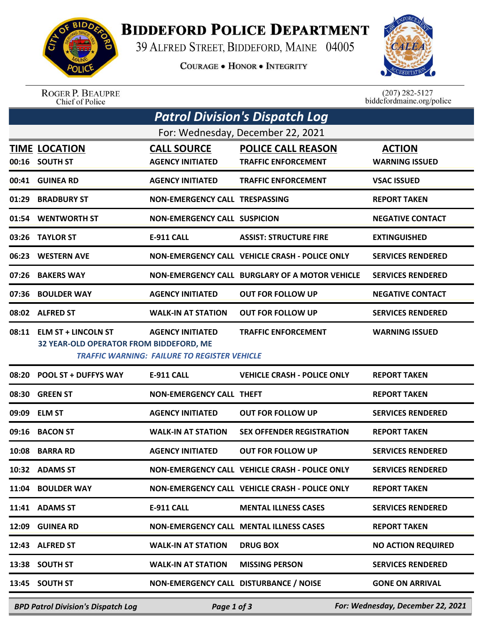

## **BIDDEFORD POLICE DEPARTMENT**

39 ALFRED STREET, BIDDEFORD, MAINE 04005

**COURAGE . HONOR . INTEGRITY** 



ROGER P. BEAUPRE<br>Chief of Police

 $(207)$  282-5127 biddefordmaine.org/police

| <b>Patrol Division's Dispatch Log</b> |                                                                      |                                                                         |                                                         |                                        |  |  |  |  |
|---------------------------------------|----------------------------------------------------------------------|-------------------------------------------------------------------------|---------------------------------------------------------|----------------------------------------|--|--|--|--|
| For: Wednesday, December 22, 2021     |                                                                      |                                                                         |                                                         |                                        |  |  |  |  |
|                                       | <b>TIME LOCATION</b><br>00:16 SOUTH ST                               | <b>CALL SOURCE</b><br><b>AGENCY INITIATED</b>                           | <b>POLICE CALL REASON</b><br><b>TRAFFIC ENFORCEMENT</b> | <b>ACTION</b><br><b>WARNING ISSUED</b> |  |  |  |  |
|                                       | 00:41 GUINEA RD                                                      | <b>AGENCY INITIATED</b>                                                 | <b>TRAFFIC ENFORCEMENT</b>                              | <b>VSAC ISSUED</b>                     |  |  |  |  |
| 01:29                                 | <b>BRADBURY ST</b>                                                   | NON-EMERGENCY CALL TRESPASSING                                          |                                                         | <b>REPORT TAKEN</b>                    |  |  |  |  |
|                                       | 01:54 WENTWORTH ST                                                   | <b>NON-EMERGENCY CALL SUSPICION</b>                                     |                                                         | <b>NEGATIVE CONTACT</b>                |  |  |  |  |
| 03:26                                 | <b>TAYLOR ST</b>                                                     | <b>E-911 CALL</b>                                                       | <b>ASSIST: STRUCTURE FIRE</b>                           | <b>EXTINGUISHED</b>                    |  |  |  |  |
| 06:23                                 | <b>WESTERN AVE</b>                                                   |                                                                         | NON-EMERGENCY CALL VEHICLE CRASH - POLICE ONLY          | <b>SERVICES RENDERED</b>               |  |  |  |  |
| 07:26                                 | <b>BAKERS WAY</b>                                                    |                                                                         | NON-EMERGENCY CALL BURGLARY OF A MOTOR VEHICLE          | <b>SERVICES RENDERED</b>               |  |  |  |  |
| 07:36                                 | <b>BOULDER WAY</b>                                                   | <b>AGENCY INITIATED</b>                                                 | <b>OUT FOR FOLLOW UP</b>                                | <b>NEGATIVE CONTACT</b>                |  |  |  |  |
|                                       | 08:02 ALFRED ST                                                      | <b>WALK-IN AT STATION</b>                                               | <b>OUT FOR FOLLOW UP</b>                                | <b>SERVICES RENDERED</b>               |  |  |  |  |
|                                       | 08:11 ELM ST + LINCOLN ST<br>32 YEAR-OLD OPERATOR FROM BIDDEFORD, ME | <b>AGENCY INITIATED</b><br>TRAFFIC WARNING: FAILURE TO REGISTER VEHICLE | <b>TRAFFIC ENFORCEMENT</b>                              | <b>WARNING ISSUED</b>                  |  |  |  |  |
| 08:20                                 | <b>POOL ST + DUFFYS WAY</b>                                          | <b>E-911 CALL</b>                                                       | <b>VEHICLE CRASH - POLICE ONLY</b>                      | <b>REPORT TAKEN</b>                    |  |  |  |  |
| 08:30                                 | <b>GREEN ST</b>                                                      | <b>NON-EMERGENCY CALL THEFT</b>                                         |                                                         | <b>REPORT TAKEN</b>                    |  |  |  |  |
| 09:09                                 | <b>ELM ST</b>                                                        | <b>AGENCY INITIATED</b>                                                 | <b>OUT FOR FOLLOW UP</b>                                | <b>SERVICES RENDERED</b>               |  |  |  |  |
| 09:16                                 | <b>BACON ST</b>                                                      | <b>WALK-IN AT STATION</b>                                               | <b>SEX OFFENDER REGISTRATION</b>                        | <b>REPORT TAKEN</b>                    |  |  |  |  |
| 10:08                                 | <b>BARRA RD</b>                                                      | <b>AGENCY INITIATED</b>                                                 | <b>OUT FOR FOLLOW UP</b>                                | <b>SERVICES RENDERED</b>               |  |  |  |  |
|                                       | 10:32 ADAMS ST                                                       |                                                                         | NON-EMERGENCY CALL VEHICLE CRASH - POLICE ONLY          | <b>SERVICES RENDERED</b>               |  |  |  |  |
|                                       | 11:04 BOULDER WAY                                                    |                                                                         | NON-EMERGENCY CALL VEHICLE CRASH - POLICE ONLY          | <b>REPORT TAKEN</b>                    |  |  |  |  |
|                                       | 11:41 ADAMS ST                                                       | E-911 CALL                                                              | <b>MENTAL ILLNESS CASES</b>                             | <b>SERVICES RENDERED</b>               |  |  |  |  |
| 12:09                                 | <b>GUINEA RD</b>                                                     |                                                                         | NON-EMERGENCY CALL MENTAL ILLNESS CASES                 | <b>REPORT TAKEN</b>                    |  |  |  |  |
|                                       | 12:43 ALFRED ST                                                      | <b>WALK-IN AT STATION</b>                                               | <b>DRUG BOX</b>                                         | <b>NO ACTION REQUIRED</b>              |  |  |  |  |
|                                       | 13:38 SOUTH ST                                                       | <b>WALK-IN AT STATION</b>                                               | <b>MISSING PERSON</b>                                   | <b>SERVICES RENDERED</b>               |  |  |  |  |
|                                       | 13:45 SOUTH ST                                                       | NON-EMERGENCY CALL DISTURBANCE / NOISE                                  |                                                         | <b>GONE ON ARRIVAL</b>                 |  |  |  |  |
|                                       |                                                                      |                                                                         |                                                         |                                        |  |  |  |  |

*BPD Patrol Division's Dispatch Log Page 1 of 3 For: Wednesday, December 22, 2021*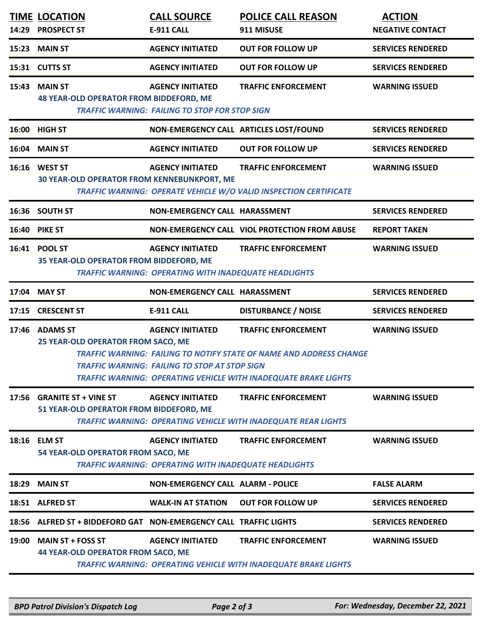|       | <b>TIME LOCATION</b><br>14:29 PROSPECT ST                              | <b>CALL SOURCE</b><br><b>E-911 CALL</b>                                                 | <b>POLICE CALL REASON</b><br>911 MISUSE                                                                                                                                     | <b>ACTION</b><br><b>NEGATIVE CONTACT</b> |
|-------|------------------------------------------------------------------------|-----------------------------------------------------------------------------------------|-----------------------------------------------------------------------------------------------------------------------------------------------------------------------------|------------------------------------------|
|       | 15:23 MAIN ST                                                          | <b>AGENCY INITIATED</b>                                                                 | <b>OUT FOR FOLLOW UP</b>                                                                                                                                                    | <b>SERVICES RENDERED</b>                 |
|       | 15:31 CUTTS ST                                                         | <b>AGENCY INITIATED</b>                                                                 | <b>OUT FOR FOLLOW UP</b>                                                                                                                                                    | <b>SERVICES RENDERED</b>                 |
|       | <b>15:43 MAIN ST</b><br><b>48 YEAR-OLD OPERATOR FROM BIDDEFORD, ME</b> | <b>AGENCY INITIATED</b><br><b>TRAFFIC WARNING: FAILING TO STOP FOR STOP SIGN</b>        | <b>TRAFFIC ENFORCEMENT</b>                                                                                                                                                  | <b>WARNING ISSUED</b>                    |
|       | 16:00 HIGH ST                                                          |                                                                                         | NON-EMERGENCY CALL ARTICLES LOST/FOUND                                                                                                                                      | <b>SERVICES RENDERED</b>                 |
|       | 16:04 MAIN ST                                                          | <b>AGENCY INITIATED</b>                                                                 | <b>OUT FOR FOLLOW UP</b>                                                                                                                                                    | <b>SERVICES RENDERED</b>                 |
|       | 16:16 WEST ST<br>30 YEAR-OLD OPERATOR FROM KENNEBUNKPORT, ME           | <b>AGENCY INITIATED</b>                                                                 | <b>TRAFFIC ENFORCEMENT</b><br>TRAFFIC WARNING: OPERATE VEHICLE W/O VALID INSPECTION CERTIFICATE                                                                             | <b>WARNING ISSUED</b>                    |
|       | 16:36 SOUTH ST                                                         | NON-EMERGENCY CALL HARASSMENT                                                           |                                                                                                                                                                             | <b>SERVICES RENDERED</b>                 |
|       | <b>16:40 PIKE ST</b>                                                   |                                                                                         | NON-EMERGENCY CALL VIOL PROTECTION FROM ABUSE                                                                                                                               | <b>REPORT TAKEN</b>                      |
|       | 16:41 POOL ST<br>35 YEAR-OLD OPERATOR FROM BIDDEFORD, ME               | <b>AGENCY INITIATED</b><br>TRAFFIC WARNING: OPERATING WITH INADEQUATE HEADLIGHTS        | <b>TRAFFIC ENFORCEMENT</b>                                                                                                                                                  | <b>WARNING ISSUED</b>                    |
|       | 17:04 MAY ST                                                           | NON-EMERGENCY CALL HARASSMENT                                                           |                                                                                                                                                                             | <b>SERVICES RENDERED</b>                 |
|       |                                                                        |                                                                                         |                                                                                                                                                                             |                                          |
|       | 17:15 CRESCENT ST                                                      | <b>E-911 CALL</b>                                                                       | <b>DISTURBANCE / NOISE</b>                                                                                                                                                  | <b>SERVICES RENDERED</b>                 |
|       | 17:46 ADAMS ST<br>25 YEAR-OLD OPERATOR FROM SACO, ME                   | <b>AGENCY INITIATED</b><br><b>TRAFFIC WARNING: FAILING TO STOP AT STOP SIGN</b>         | <b>TRAFFIC ENFORCEMENT</b><br><b>TRAFFIC WARNING: FAILING TO NOTIFY STATE OF NAME AND ADDRESS CHANGE</b><br>TRAFFIC WARNING: OPERATING VEHICLE WITH INADEQUATE BRAKE LIGHTS | <b>WARNING ISSUED</b>                    |
| 17:56 | <b>GRANITE ST + VINE ST</b><br>51 YEAR-OLD OPERATOR FROM BIDDEFORD, ME | <b>AGENCY INITIATED</b>                                                                 | <b>TRAFFIC ENFORCEMENT</b><br><b>TRAFFIC WARNING: OPERATING VEHICLE WITH INADEQUATE REAR LIGHTS</b>                                                                         | <b>WARNING ISSUED</b>                    |
|       | 18:16 ELM ST<br>54 YEAR-OLD OPERATOR FROM SACO, ME                     | <b>AGENCY INITIATED</b><br><b>TRAFFIC WARNING: OPERATING WITH INADEQUATE HEADLIGHTS</b> | <b>TRAFFIC ENFORCEMENT</b>                                                                                                                                                  | <b>WARNING ISSUED</b>                    |
| 18:29 | <b>MAIN ST</b>                                                         | <b>NON-EMERGENCY CALL ALARM - POLICE</b>                                                |                                                                                                                                                                             | <b>FALSE ALARM</b>                       |
|       | 18:51 ALFRED ST                                                        | <b>WALK-IN AT STATION</b>                                                               | <b>OUT FOR FOLLOW UP</b>                                                                                                                                                    | <b>SERVICES RENDERED</b>                 |
|       | 18:56 ALFRED ST + BIDDEFORD GAT NON-EMERGENCY CALL TRAFFIC LIGHTS      |                                                                                         |                                                                                                                                                                             | <b>SERVICES RENDERED</b>                 |